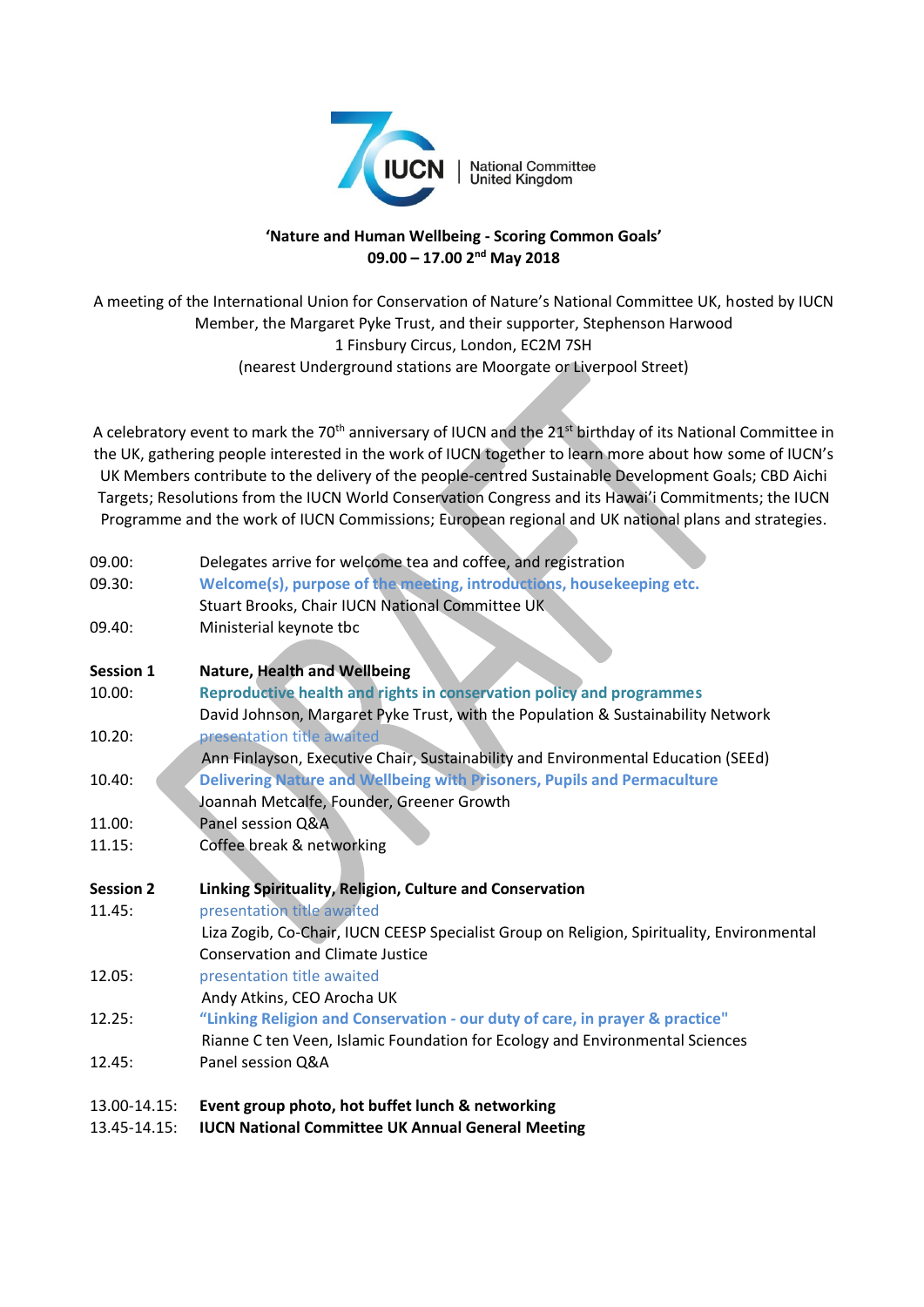

## **'Nature and Human Wellbeing - Scoring Common Goals' 09.00 – 17.00 2nd May 2018**

A meeting of the International Union for Conservation of Nature's National Committee UK, hosted by IUCN Member, the Margaret Pyke Trust, and their supporter, Stephenson Harwood 1 Finsbury Circus, London, EC2M 7SH (nearest Underground stations are Moorgate or Liverpool Street)

A celebratory event to mark the 70<sup>th</sup> anniversary of IUCN and the 21<sup>st</sup> birthday of its National Committee in the UK, gathering people interested in the work of IUCN together to learn more about how some of IUCN's UK Members contribute to the delivery of the people-centred Sustainable Development Goals; CBD Aichi Targets; Resolutions from the IUCN World Conservation Congress and its Hawai'i Commitments; the IUCN Programme and the work of IUCN Commissions; European regional and UK national plans and strategies.

| 09.00:           | Delegates arrive for welcome tea and coffee, and registration                              |
|------------------|--------------------------------------------------------------------------------------------|
| 09.30:           | Welcome(s), purpose of the meeting, introductions, housekeeping etc.                       |
|                  | Stuart Brooks, Chair IUCN National Committee UK                                            |
| 09.40:           | Ministerial keynote tbc                                                                    |
|                  |                                                                                            |
| <b>Session 1</b> | <b>Nature, Health and Wellbeing</b>                                                        |
| 10.00:           | Reproductive health and rights in conservation policy and programmes                       |
|                  | David Johnson, Margaret Pyke Trust, with the Population & Sustainability Network           |
| 10.20:           | presentation title awaited                                                                 |
|                  | Ann Finlayson, Executive Chair, Sustainability and Environmental Education (SEEd)          |
| 10.40:           | Delivering Nature and Wellbeing with Prisoners, Pupils and Permaculture                    |
|                  | Joannah Metcalfe, Founder, Greener Growth                                                  |
| 11.00:           | Panel session Q&A                                                                          |
| 11.15:           | Coffee break & networking                                                                  |
|                  |                                                                                            |
| <b>Session 2</b> | Linking Spirituality, Religion, Culture and Conservation                                   |
| 11.45:           | presentation title awaited                                                                 |
|                  | Liza Zogib, Co-Chair, IUCN CEESP Specialist Group on Religion, Spirituality, Environmental |
|                  | <b>Conservation and Climate Justice</b>                                                    |
| 12.05:           | presentation title awaited                                                                 |
|                  | Andy Atkins, CEO Arocha UK                                                                 |
| 12.25:           | "Linking Religion and Conservation - our duty of care, in prayer & practice"               |
|                  | Rianne C ten Veen, Islamic Foundation for Ecology and Environmental Sciences               |
| 12.45:           | Panel session Q&A                                                                          |
| 13.00-14.15:     | Event group photo, hot buffet lunch & networking                                           |
| 13.45-14.15:     | <b>IUCN National Committee UK Annual General Meeting</b>                                   |